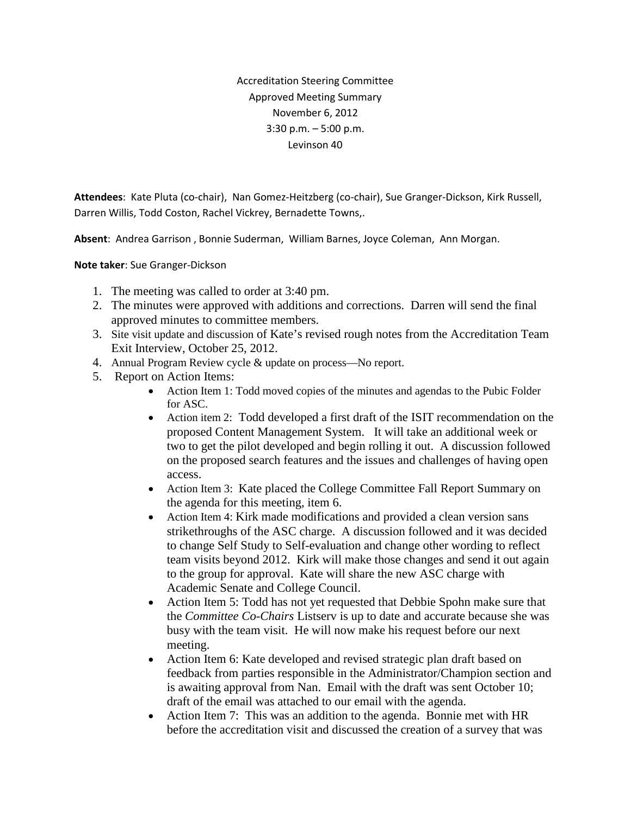Accreditation Steering Committee Approved Meeting Summary November 6, 2012 3:30 p.m. – 5:00 p.m. Levinson 40

**Attendees**: Kate Pluta (co-chair), Nan Gomez-Heitzberg (co-chair), Sue Granger-Dickson, Kirk Russell, Darren Willis, Todd Coston, Rachel Vickrey, Bernadette Towns,.

**Absent**: Andrea Garrison , Bonnie Suderman, William Barnes, Joyce Coleman, Ann Morgan.

**Note taker**: Sue Granger-Dickson

- 1. The meeting was called to order at 3:40 pm.
- 2. The minutes were approved with additions and corrections. Darren will send the final approved minutes to committee members.
- 3. Site visit update and discussion of Kate's revised rough notes from the Accreditation Team Exit Interview, October 25, 2012.
- 4. Annual Program Review cycle & update on process—No report.
- 5. Report on Action Items:
	- Action Item 1: Todd moved copies of the minutes and agendas to the Pubic Folder for ASC.
	- Action item 2: Todd developed a first draft of the ISIT recommendation on the proposed Content Management System. It will take an additional week or two to get the pilot developed and begin rolling it out. A discussion followed on the proposed search features and the issues and challenges of having open access.
	- Action Item 3: Kate placed the College Committee Fall Report Summary on the agenda for this meeting, item 6.
	- Action Item 4: Kirk made modifications and provided a clean version sans strikethroughs of the ASC charge. A discussion followed and it was decided to change Self Study to Self-evaluation and change other wording to reflect team visits beyond 2012. Kirk will make those changes and send it out again to the group for approval. Kate will share the new ASC charge with Academic Senate and College Council.
	- Action Item 5: Todd has not yet requested that Debbie Spohn make sure that the *Committee Co-Chairs* Listserv is up to date and accurate because she was busy with the team visit. He will now make his request before our next meeting.
	- Action Item 6: Kate developed and revised strategic plan draft based on feedback from parties responsible in the Administrator/Champion section and is awaiting approval from Nan. Email with the draft was sent October 10; draft of the email was attached to our email with the agenda.
	- Action Item 7: This was an addition to the agenda. Bonnie met with HR before the accreditation visit and discussed the creation of a survey that was